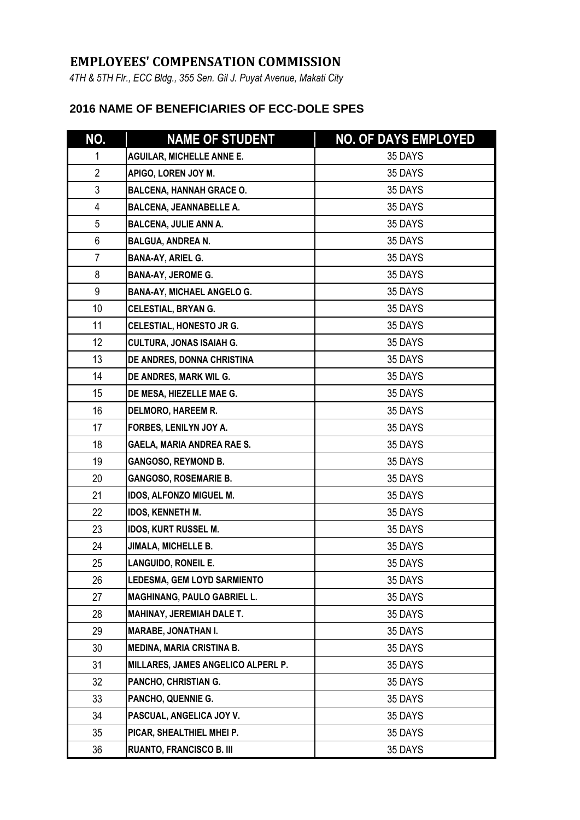## **EMPLOYEES' COMPENSATION COMMISSION**

*4TH & 5TH Flr., ECC Bldg., 355 Sen. Gil J. Puyat Avenue, Makati City*

## **2016 NAME OF BENEFICIARIES OF ECC-DOLE SPES**

| NO.            | <b>NAME OF STUDENT</b>             | <b>NO. OF DAYS EMPLOYED</b> |
|----------------|------------------------------------|-----------------------------|
| 1              | <b>AGUILAR, MICHELLE ANNE E.</b>   | 35 DAYS                     |
| $\overline{2}$ | APIGO, LOREN JOY M.                | 35 DAYS                     |
| 3              | <b>BALCENA, HANNAH GRACE O.</b>    | 35 DAYS                     |
| 4              | <b>BALCENA, JEANNABELLE A.</b>     | 35 DAYS                     |
| 5              | <b>BALCENA, JULIE ANN A.</b>       | 35 DAYS                     |
| 6              | <b>BALGUA, ANDREA N.</b>           | 35 DAYS                     |
| $\overline{7}$ | <b>BANA-AY, ARIEL G.</b>           | 35 DAYS                     |
| 8              | <b>BANA-AY, JEROME G.</b>          | 35 DAYS                     |
| 9              | <b>BANA-AY, MICHAEL ANGELO G.</b>  | 35 DAYS                     |
| 10             | CELESTIAL, BRYAN G.                | 35 DAYS                     |
| 11             | CELESTIAL, HONESTO JR G.           | 35 DAYS                     |
| 12             | <b>CULTURA, JONAS ISAIAH G.</b>    | 35 DAYS                     |
| 13             | DE ANDRES, DONNA CHRISTINA         | 35 DAYS                     |
| 14             | DE ANDRES, MARK WIL G.             | 35 DAYS                     |
| 15             | DE MESA, HIEZELLE MAE G.           | 35 DAYS                     |
| 16             | <b>DELMORO, HAREEM R.</b>          | 35 DAYS                     |
| 17             | FORBES, LENILYN JOY A.             | 35 DAYS                     |
| 18             | GAELA, MARIA ANDREA RAE S.         | 35 DAYS                     |
| 19             | <b>GANGOSO, REYMOND B.</b>         | 35 DAYS                     |
| 20             | <b>GANGOSO, ROSEMARIE B.</b>       | 35 DAYS                     |
| 21             | IDOS, ALFONZO MIGUEL M.            | 35 DAYS                     |
| 22             | <b>IDOS, KENNETH M.</b>            | 35 DAYS                     |
| 23             | <b>IDOS, KURT RUSSEL M.</b>        | 35 DAYS                     |
| 24             | <b>JIMALA, MICHELLE B.</b>         | 35 DAYS                     |
| 25             | LANGUIDO, RONEIL E.                | 35 DAYS                     |
| 26             | <b>LEDESMA, GEM LOYD SARMIENTO</b> | 35 DAYS                     |
| 27             | <b>MAGHINANG, PAULO GABRIEL L.</b> | 35 DAYS                     |
| 28             | <b>MAHINAY, JEREMIAH DALE T.</b>   | 35 DAYS                     |
| 29             | <b>MARABE, JONATHAN I.</b>         | 35 DAYS                     |
| 30             | <b>MEDINA, MARIA CRISTINA B.</b>   | 35 DAYS                     |
| 31             | MILLARES, JAMES ANGELICO ALPERL P. | 35 DAYS                     |
| 32             | PANCHO, CHRISTIAN G.               | 35 DAYS                     |
| 33             | PANCHO, QUENNIE G.                 | 35 DAYS                     |
| 34             | PASCUAL, ANGELICA JOY V.           | 35 DAYS                     |
| 35             | PICAR, SHEALTHIEL MHEI P.          | 35 DAYS                     |
| 36             | <b>RUANTO, FRANCISCO B. III</b>    | 35 DAYS                     |